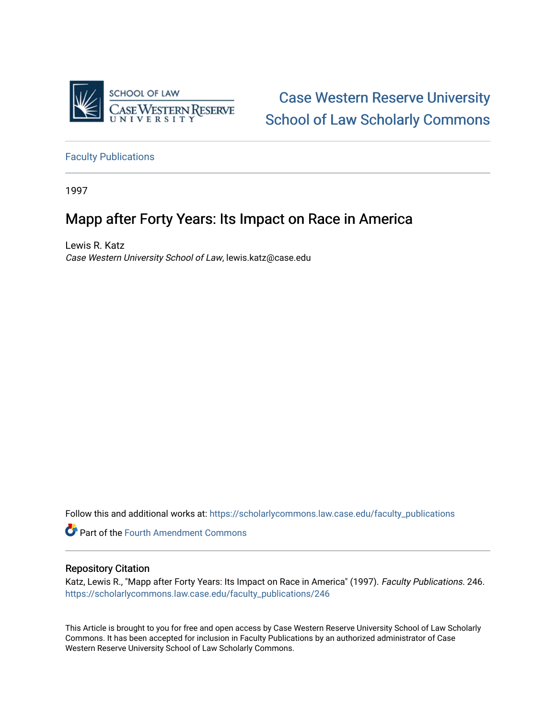

[Case Western Reserve University](https://scholarlycommons.law.case.edu/)  [School of Law Scholarly Commons](https://scholarlycommons.law.case.edu/) 

[Faculty Publications](https://scholarlycommons.law.case.edu/faculty_publications)

1997

## Mapp after Forty Years: Its Impact on Race in America

Lewis R. Katz Case Western University School of Law, lewis.katz@case.edu

Follow this and additional works at: [https://scholarlycommons.law.case.edu/faculty\\_publications](https://scholarlycommons.law.case.edu/faculty_publications?utm_source=scholarlycommons.law.case.edu%2Ffaculty_publications%2F246&utm_medium=PDF&utm_campaign=PDFCoverPages)

**C** Part of the Fourth Amendment Commons

### Repository Citation

Katz, Lewis R., "Mapp after Forty Years: Its Impact on Race in America" (1997). Faculty Publications. 246. [https://scholarlycommons.law.case.edu/faculty\\_publications/246](https://scholarlycommons.law.case.edu/faculty_publications/246?utm_source=scholarlycommons.law.case.edu%2Ffaculty_publications%2F246&utm_medium=PDF&utm_campaign=PDFCoverPages)

This Article is brought to you for free and open access by Case Western Reserve University School of Law Scholarly Commons. It has been accepted for inclusion in Faculty Publications by an authorized administrator of Case Western Reserve University School of Law Scholarly Commons.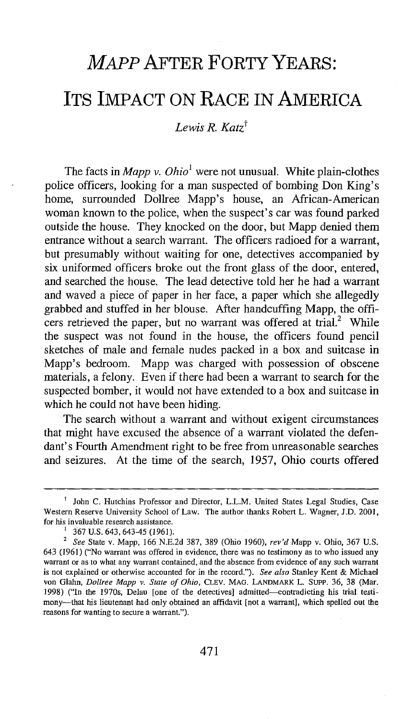# *MAPP* **AFTER FORTY YEARS: ITS IMPACT ON RACE IN AMERICA**

*Lewis R. Katz* t

The facts in *Mapp v. Ohio<sup>1</sup>* were not unusual. White plain-clothes police officers, looking for a man suspected of bombing Don King's home, surrounded Dollree Mapp's house, an African-American woman known to the police, when the suspect's car was found parked outside the house. They knocked on the door, but Mapp denied them entrance without a search warrant. The officers radioed for a warrant, but presumably without waiting for one, detectives accompanied by six uniformed officers broke out the front glass of the door, entered, and searched the house. The lead detective told her he had a warrant and waved a piece of paper in her face, a paper which she allegedly grabbed and stuffed in her blouse. After handcuffing Mapp, the officers retrieved the paper, but no warrant was offered at trial.<sup>2</sup> While the suspect was not found in the house, the officers found pencil sketches of male and female nudes packed in a box and suitcase in Mapp's bedroom. Mapp was charged with possession of obscene materials, a felony. Even if there had been a warrant to search for the suspected bomber, it would not have extended to a box and suitcase in which he could not have been hiding.

The search without a warrant and without exigent circumstances that might have excused the absence of a warrant violated the defendant's Fourth Amendment right to be free from unreasonable searches and seizures. At the time of the search, 1957, Ohio courts offered

<sup>&</sup>lt;sup>†</sup> John C. Hutchins Professor and Director, L.L.M. United States Legal Studies, Case Western Reserve University School of Law. The author thanks Robert L. Wagner, J.D. 2001, for his invaluable research assistance.<br> $\frac{1}{1}$  367 U.S. 643, 643-45 (1961).

<sup>&</sup>lt;sup>2</sup> See State v. Mapp, 166 N.E.2d 387, 389 (Ohio 1960), *rev'd* Mapp v. Ohio, 367 U.S. 643 (1961) ("No warrant was offered in evidence, there was no testimony as to who issued any warrant or as to what any warrant contained, and the absence from evidence of any such warrant is not explained or otherwise accounted for in the record."). *See also* Stanley Kent & Michael von Glahn, *Dollree Mapp v. State of Ohio,* CLEV. MAG. LANDMARK L. SUPP. 36, 38 (Mar. 1998) ("In the 1970s, Delau [one of the detectives] admitted-contradicting his trial testimony—that his lieutenant had only obtained an affidavit [not a warrant], which spelled out the reasons for wanting to secure a warrant.").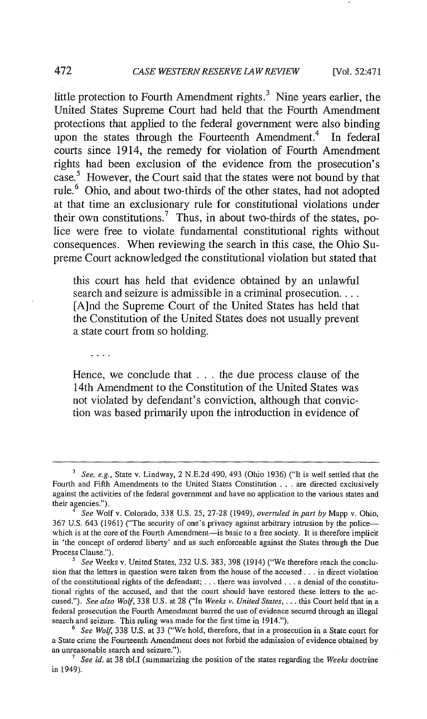little protection to Fourth Amendment rights.<sup>3</sup> Nine years earlier, the United States Supreme Court had held that the Fourth Amendment protections that applied to the federal government were also binding upon the states through the Fourteenth Amendment.<sup>4</sup> In federal courts since 1914, the remedy for violation of Fourth Amendment rights had been exclusion of the evidence from the prosecution's case.5 However, the Court said that the states were not bound by that rule.<sup>6</sup> Ohio, and about two-thirds of the other states, had not adopted at that time an exclusionary rule for constitutional violations under their own constitutions.<sup>7</sup> Thus, in about two-thirds of the states, police were free to violate fundamental constitutional rights without consequences. When reviewing the search in this case, the Ohio Supreme Court acknowledged the constitutional violation but stated that

this court has held that evidence obtained by an unlawful search and seizure is admissible in a criminal prosecution... [A]nd the Supreme Court of the United States has held that the Constitution of the United States does not usually prevent a state court from so holding.

Hence, we conclude that . . . the due process clause of the 14th Amendment to the Constitution of the United States was not violated by defendant's conviction, although that conviction was based primarily upon the introduction in evidence of

in 1949).

. . . .

<sup>3</sup>*See, e.g.,* State v. Lindway, 2 N.E.2d 490, 493 (Ohio 1936) ("It is well settled that the Fourth and Fifth Amendments to the United States Constitution ... are directed exclusively against the activities of the federal government and have no application to the various states and their agencies.").

<sup>4</sup>*See* Wolf v. Colorado, 338 U.S. 25, 27-28 (1949), *overruled in part by* Mapp v. Ohio, 367 U.S. 643 (1961) ("The security of one's privacy against arbitrary intrusion by the policewhich is at the core of the Fourth Amendment-is basic to a free society. It is therefore implicit in 'the concept of ordered liberty' and as such enforceable against the States through the Due Process Clause."). *5 See* Weeks v. United States, 232 U.S. 383, 398 (1914) ("We therefore reach the conclu-

sion that the letters in question were taken from the house of the accused ... in direct violation of the constitutional rights of the defendant; ... there was involved ... a denial of the constitutional rights of the accused, and that the court should have restored these letters to the accused."). *See also Wolf,* 338 U.S. at 28 ("In *Weeks v. United States,* ... this Court held that in <sup>a</sup> federal prosecution the Fourth Amendment barred the use of evidence secured through an illegal search and seizure. This ruling was made for the first time in 1914.").<br><sup>6</sup> *See Wolf*, 338 U.S. at 33 ("We hold, therefore, that in a prosecution in a State court for

a State crime the Fourteenth Amendment does not forbid the admission of evidence obtained by an unreasonable search and seizure."). 7 *See id.* at 38 tbi.I (summarizing the position of the states regarding the *Weeks* doctrine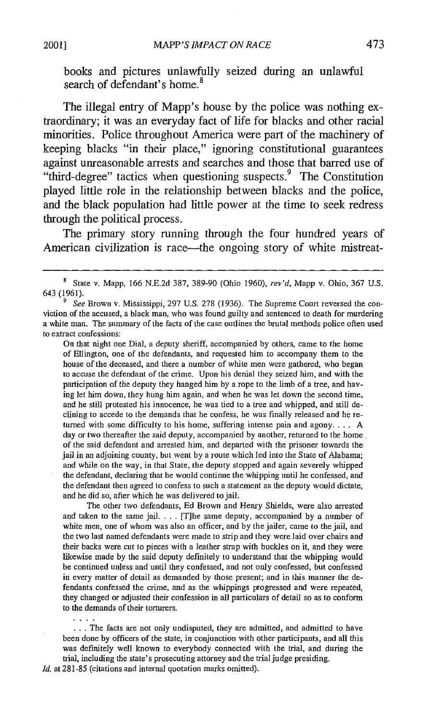books and pictures unlawfully seized during an unlawful search of defendant's home.<sup>8</sup>

The illegal entry of Mapp's house by the police was nothing extraordinary; it was an everyday fact of life for blacks and other racial minorities. Police throughout America were part of the machinery of keeping blacks "in their place," ignoring constitutional guarantees against unreasonable arrests and searches and those that barred use of "third-degree" tactics when questioning suspects. $9$  The Constitution played little role in the relationship between blacks and the police, and the black population had little power at the time to seek redress through the political process.

The primary story running through the four hundred years of American civilization is race-the ongoing story of white mistreat-

On that night one Dial, a deputy sheriff, accompanied by others, came to the home of Ellington, one of the defendants, and requested him to accompany them to the house of the deceased, and there a number of white men were gathered, who began to accuse the defendant of the crime. Upon his denial they seized him, and with the participation of the deputy they hanged him by a rope to the limb of a tree, and having let him down, they hung him again, and when he was let down the second time, and he still protested his innocence, he was tied to a tree and whipped, and still declining to accede to the demands that he confess, he was finally released and he returned with some difficulty to his home, suffering intense pain and agony. . . . A day or two thereafter the said deputy, accompanied by another, returned to the home. of the said defendant and arrested him, and departed with the prisoner towards the jail in an adjoining county, but went by a route which led into the State of Alabama; and while on the way, in that State, the deputy stopped and again severely whipped the defendant, declaring that he would continue the whipping until he confessed, and the defendant then agreed to confess to such a statement as the deputy would dictate, and he did so, after which he was delivered to jail.

The other two defendants, Ed Brown and Henry Shields, were also arrested and taken to the same jail.  $\ldots$  [T]he same deputy, accompanied by a number of white men, one of whom was also an officer, and by the jailer, came to the jail, and the two last named defendants were made to strip and they were laid over chairs and their backs were cut to pieces with a leather strap with buckles on it, and they were likewise made by the said deputy definitely to understand that the whipping would be continued unless and until they confessed, and not only confessed, but confessed in every matter of detail as demanded by those present; and in this manner the defendants confessed the crime, and as the whippings progressed and were repeated, they changed or adjusted their confession in all particulars of detail so as to conform to the demands of their torturers.

. . . The facts are not only undisputed, they are admitted, and admitted to have been done by officers of the state, in conjunction with other participants, and all this was definitely well known to everybody connected with the trial, and during the trial, including the state's prosecuting attorney and the trial judge presiding.

<sup>8</sup> State v. Mapp, 166 N.E.2d 387, 389-90 (Ohio 1960), *rev'd,* Mapp v. Ohio, 367 U.S. 643 (1961).

<sup>9</sup>*See* Brown v. Mississippi, 297 U.S. 278 (1936). The Supreme Court reversed the conviction of the accused, a black man, who was found guilty and sentenced to death for murdering a white man. The summary of the facts of the case outlines the brutal methods police often used to extract confessions: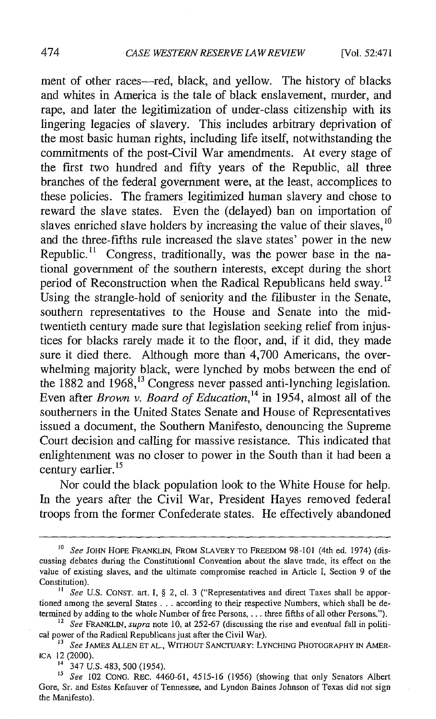ment of other races—red, black, and yellow. The history of blacks and whites in America is the tale of black enslavement, murder, and rape, and later the legitimization of under-class citizenship with its lingering legacies of slavery. This includes arbitrary deprivation of the most basic human rights, including life itself, notwithstanding the commitments of the post-Civil War amendments. At every stage of the first two hundred and fifty years of the Republic, all three branches of the federal government were, at the least, accomplices to these policies. The framers legitimized human slavery and chose to reward the slave states. Even the (delayed) ban on importation of slaves enriched slave holders by increasing the value of their slaves, <sup>10</sup> and the three-fifths rule increased the slave states' power in the new Republic.<sup>11</sup> Congress, traditionally, was the power base in the national government of the southern interests, except during the short period of Reconstruction when the Radical Republicans held sway.<sup>12</sup> Using the strangle-hold of seniority and the filibuster in the Senate, southern representatives to the House and Senate into the midtwentieth century made sure that legislation seeking relief from injustices for blacks rarely made it to the floor, and, if it did, they made sure it died there. Although more than 4,700 Americans, the overwhelming majority black, were lynched by mobs between the end of the 1882 and 1968,<sup>13</sup> Congress never passed anti-lynching legislation. Even after *Brown v. Board of Education*,<sup>14</sup> in 1954, almost all of the southerners in the United States Senate and House of Representatives issued a document, the Southern Manifesto, denouncing the Supreme Court decision and calling for massive resistance. This indicated that enlightenment was no closer to power in the South than it had been a century earlier.<sup>15</sup>

Nor could the black population look to the White House for help. In the years after the Civil War, President Hayes removed federal troops from the former Confederate states. He effectively abandoned

<sup>10</sup>*See* JOHN HOPE FRANKLIN, FROM SLAVERY TO FREEDOM 98-101 (4th ed. 1974) (discussing debates during the Constitutional Convention about the slave trade, its effect on the value of existing slaves, and the ultimate compromise reached in Article I, Section 9 of the Constitution).

<sup>&</sup>lt;sup>11</sup> See U.S. CONST. art. I, § 2, cl. 3 ("Representatives and direct Taxes shall be apportioned among the several States . . . according to their respective Numbers, which shall be determined by adding to the whole Number of free Persons. . . . three fifths of all other Persons.").

<sup>&</sup>lt;sup>12</sup> See FRANKLIN, *supra* note 10, at 252-67 (discussing the rise and eventual fall in political power of the Radical Republicans just after the Civil War).

 $^{13}$  *See JAMES ALLEN ET AL.*, WITHOUT SANCTUARY: LYNCHING PHOTOGRAPHY IN AMERICA 12 (2000).

ICA 12 (2000). 14 347 u.s. 483,500 (1954). <sup>15</sup>*See* 102 CONG. REc. 4460-61, 4515-16 (1956) (showing that only Senators Albert Gore, Sr. and Estes Kefauver of Tennessee, and Lyndon Baines Johnson of Texas did not sign the Manifesto).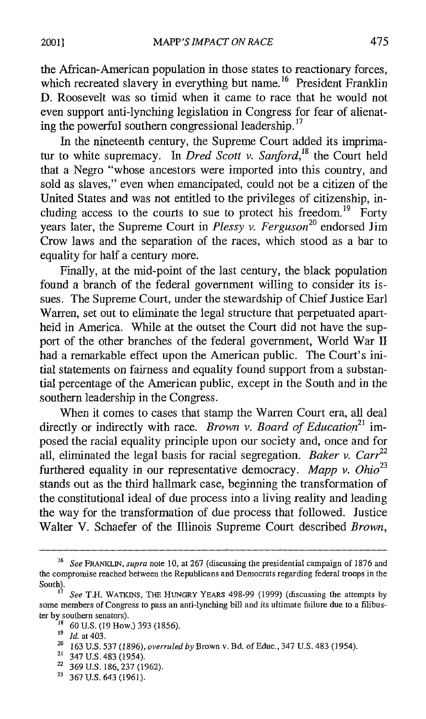the African-American population in those states to reactionary forces, which recreated slavery in everything but name.<sup>16</sup> President Franklin D. Roosevelt was so timid when it came to race that he would not even support anti-lynching legislation in Congress for fear of alienating the powerful southern congressional leadership.<sup>17</sup>

In the nineteenth century, the Supreme Court added its imprimatur to white supremacy. In *Dred Scott v. Sanford*<sup>18</sup> the Court held that a Negro "whose ancestors were imported into this country, and sold as slaves," even when emancipated, could not be a citizen of the United States and was not entitled to the privileges of citizenship, including access to the courts to sue to protect his freedom.<sup>19</sup> Forty years later, the Supreme Court in *Plessy v. Ferguson*<sup>20</sup> endorsed Jim Crow laws and the separation of the races, which stood as a bar to equality for half a century more.

Finally, at the mid-point of the last century, the black population found a branch of the federal government willing to consider its issues. The Supreme Court, under the stewardship of Chief Justice Earl Warren, set out to eliminate the legal structure that perpetuated apartheid in America. While at the outset the Court did not have the support of the other branches of the federal government, World War II had a remarkable effect upon the American public. The Court's initial statements on fairness and equality found support from a substantial percentage of the American public, except in the South and in the southern leadership in the Congress.

When it comes to cases that stamp the Warren Court era, all deal directly or indirectly with race. *Brown v. Board of Education*<sup>21</sup> imposed the racial equality principle upon our society and, once and for all, eliminated the legal basis for racial segregation. *Baker v. Carr*<sup>22</sup> furthered equality in our representative democracy. *Mapp v. Ohio<sup>23</sup>* stands out as the third hallmark case, beginning the transformation of the constitutional ideal of due process into a living reality and leading the way for the transformation of due process that followed. Justice Walter V. Schaefer of the Illinois Supreme Court described *Brown,* 

<sup>16</sup>*See* FRANKLJN, *supra* note 10, at 267 (discussing the presidential campaign of 1876 and the compromise reached between the Republicans and Democrats regarding federal troops in the South). 17 *See* T.H. WATKINS, THE HUNGRY YEARS 498-99 (1999) (discussing the attempts by

some members of Congress to pass an anti-lynching bill and its ultimate failure due to a filibus-<br>ter by southern senators).

<sup>&</sup>lt;sup>18</sup> 60 U.S. (19 How.) 393 (1856).<br>
<sup>19</sup> *Id.* at 403.<br>
<sup>20</sup> 163 U.S. 537 (1896), *overruled by* Brown v. Bd. of Educ., 347 U.S. 483 (1954).<br>
<sup>21</sup> 347 U.S. 483 (1954).<br>
<sup>22</sup> 369 U.S. 186, 237 (1962).<br>
<sup>23</sup> 367 U.S. 643 (1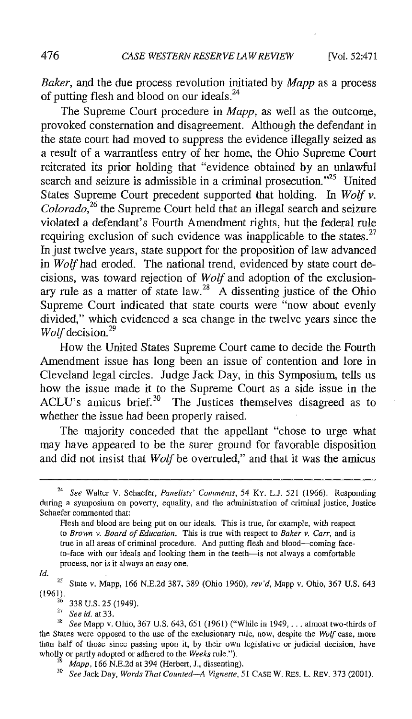*Baker,* and the due process revolution initiated by *Mapp* as a process of putting flesh and blood on our ideals. 24

The Supreme Court procedure in *Mapp,* as well as the outcome, provoked consternation and disagreement. Although the defendant in the state court had moved to suppress the evidence illegally seized as a result of a warrantless entry of her home, the Ohio Supreme Court reiterated its prior holding that "evidence obtained by an unlawful search and seizure is admissible in a criminal prosecution."<sup>25</sup> United States Supreme Court precedent supported that holding. In *Wolf v. Colorado,* 26 the Supreme Court held that an illegal search and seizure violated a defendant's Fourth Amendment rights, but the federal rule requiring exclusion of such evidence was inapplicable to the states. $27$ In just twelve years, state support for the proposition of law advanced in *Wolf* had eroded. The national trend, evidenced by state court decisions, was toward rejection of *Wolf* and adoption of the exclusionary rule as a matter of state law.<sup>28</sup> A dissenting justice of the Ohio Supreme Court indicated that state courts were "now about evenly divided," which evidenced a sea change in the twelve years since the *Wolfdecision. <sup>29</sup>*

How the United States Supreme Court came to decide the Fourth Amendment issue has long been an issue of contention and lore in Cleveland legal circles. Judge Jack Day, in this Symposium, tells us how the issue made it to the Supreme Court as a side issue in the ACLU's amicus brief.<sup>30</sup> The Justices themselves disagreed as to whether the issue had been properly raised.

The majority conceded that the appellant "chose to urge what may have appeared to be the surer ground for favorable disposition and did not insist that *Wolf* be overruled," and that it was the amicus

*!d.* 

<sup>24</sup>*See* Walter V. Schaefer, *Panelists' Comments,* 54 KY. L.J. 521 (1966). Responding during a symposium on poverty, equality, and the administration of criminal justice, Justice Schaefer commented that:

Flesh and blood are being put on our ideals. This *is* true, for example, with respect to *Brown v. Board of Education.* This is true with respect to *Baker v. Carr,* and is true in all areas of criminal procedure. And putting flesh and blood-coming faceto-face with our ideals and looking them in the teeth-is not always a comfortable process, nor is it always an easy one.

<sup>&</sup>lt;sup>25</sup> State v. Mapp, 166 N.E.2d 387, 389 (Ohio 1960), *rev'd*, Mapp v. Ohio, 367 U.S. 643<br>(1961).<br><sup>26</sup> 338 U.S. 25 (1949).

<sup>&</sup>lt;sup>27</sup> *See id.* at 33. <br><sup>28</sup> *See Mapp v. Ohio, 367 U.S. 643, 651 (1961) ("While in 1949, ... almost two-thirds of* the States were opposed to the use of the exclusionary rule, now, despite the *Wolf* case, more than half of those since passing upon it, by their own legislative or judicial decision, have wholly or partly adopted or adhered to the Weeks rule.").

<sup>&</sup>lt;sup>29</sup> *Mapp*, 166 N.E.2d at 394 (Herbert, J., dissenting).<br><sup>30</sup> *See Jack Day, Words That Counted--A Vignette*, 51 CASE W. RES. L. REV. 373 (2001).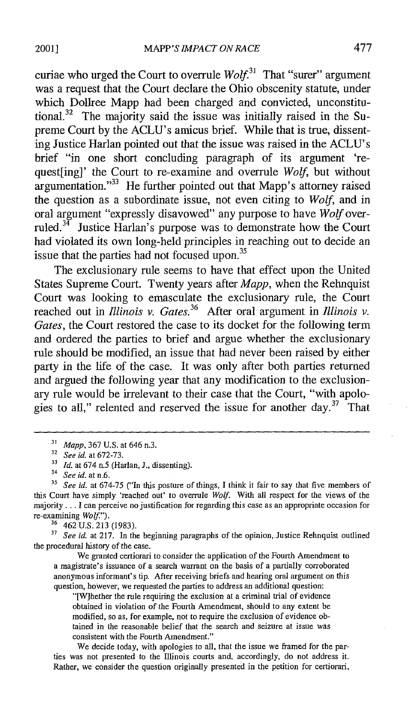curiae who urged the Court to overrule *Wolf*.<sup>31</sup> That "surer" argument was a request that the Court declare the Ohio obscenity statute, under which Dollree Mapp had been charged and convicted, unconstitutiona1.32 The majority said the issue was initially raised in the Supreme Court by the ACLU's amicus brief. While that is true, dissenting Justice Harlan pointed out that the issue was raised in the ACLU's brief "in one short concluding paragraph of its argument 'request[ing]' the Court to re-examine and overrule *Wolf*, but without argumentation."<sup>33</sup> He further pointed out that Mapp's attorney raised the question as a subordinate issue, not even citing to *Wolf,* and in oral argument "expressly disavowed" any purpose to have *Wolf* overruled. $34$  Justice Harlan's purpose was to demonstrate how the Court had violated its own long-held principles in reaching out to decide an issue that the parties had not focused upon.<sup>35</sup>

The exclusionary rule seems to have that effect upon the United States Supreme Court. Twenty years after *Mapp,* when the Rehnquist Court was looking to emasculate the exclusionary rule, the Court reached out in *Illinois v. Gates.*<sup>36</sup> After oral argument in *Illinois v. Gates,* the Court restored the case to its docket for the following term and ordered the parties to brief and argue whether the exclusionary rule should be modified, an issue that had never been raised by either party in the life of the case. It was only after both parties returned and argued the following year that any modification to the exclusionary rule would be irrelevant to their case that the Court, "with apologies to all," relented and reserved the issue for another day. $37$  That

<sup>31</sup> Mapp, 367 U.S. at 646 n.3.<br><sup>32</sup> See id. at 672-73.<br><sup>33</sup> Id. at 674 n.5 (Harlan, J., dissenting).<br><sup>34</sup> See id. at n.6.<br><sup>35</sup> See id. at 674-75 ("In this posture of things, I think it fair to say that five members of this Court have simply 'reached out' to overrule *Wolf.* With all respect for the views of the majority . . . I can perceive no justification for regarding this case as an appropriate occasion for re-examining  $Wolt$ .

<sup>36</sup> 462 U.S. 213 (1983). <sup>36</sup> *See id.* at 213 (1983). <sup>37</sup> *See id.* at 217. In the beginning paragraphs of the opinion, Justice Rehnquist outlined the procedural history of the case.

We granted certiorari to consider the application of the Fourth Amendment to a magistrate's issuance of a search warrant on the basis of a partially corroborated anonymous informant's tip. After receiving briefs and hearing oral argument on this question, however, we requested the parties to address an additional question:

"[W)hether the rule requiring the exclusion at a criminal trial of evidence obtained in violation of the Fourth Amendment, should to any extent be modified, so as, for example, not to require the exclusion of evidence obtained in the reasonable belief that the search and seizure at issue was consistent with the Fourth Amendment."

We decide today, with apologies to all, that the issue we framed for the parties was not presented to the lllinois courts and, accordingly, do not address it. Rather, we consider the question originally presented in the petition for certiorari,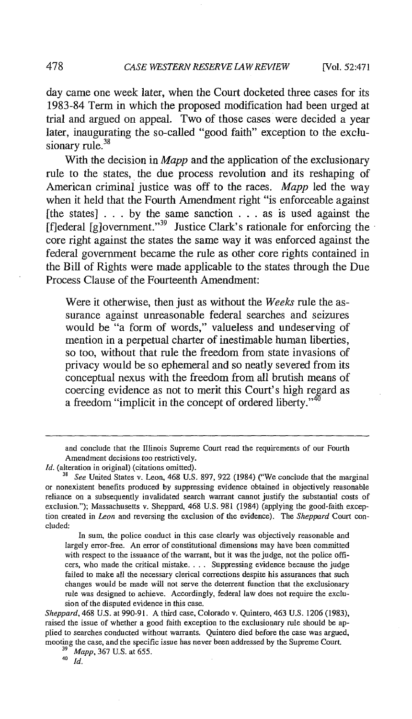day came one week later, when the Court docketed three cases for its 1983-84 Term in which the proposed modification had been urged at trial and argued on appeal. Two of those cases were decided a year later, inaugurating the so-called "good faith" exception to the exclusionary rule. $38$ 

With the decision in *Mapp* and the application of the exclusionary rule to the states, the due process revolution and its reshaping of American criminal justice was off to the races. *Mapp* led the way when it held that the Fourth Amendment right "is enforceable against [the states]  $\ldots$  by the same sanction  $\ldots$  as is used against the  $[$ f $]$ ederal [g]overnment."<sup>39</sup> Justice Clark's rationale for enforcing the core right against the states the same way it was enforced against the federal government became the rule as other core rights contained in the Bill of Rights were made applicable to the states through the Due Process Clause of the Fourteenth Amendment:

Were it otherwise, then just as without the *Weeks* rule the assurance against unreasonable federal searches and seizures would be "a form of words," valueless and undeserving of mention in a perpetual charter of inestimable human liberties, so too, without that rule the freedom from state invasions of privacy would be so ephemeral and so neatly severed from its conceptual nexus with the freedom from all brutish means of coercing evidence as not to merit this Court's high regard as a freedom "implicit in the concept of ordered liberty."<sup>4t</sup>

In sum, the police conduct in this case clearly was objectively reasonable and largely error-free. An error of constitutional dimensions may have been committed with respect to the issuance of the warrant, but it was the judge, not the police officers, who made the critical mistake. . . . Suppressing evidence because the judge failed to make all the necessary clerical corrections despite his assurances that such changes would be made will not serve the deterrent function that the exclusionary rule was designed to achieve. Accordingly, federal law does not require the exclusion of the disputed evidence in this case.

*Sheppard,* 468 U.S. at 990-9!. A third case, Colorado v. Quintero, 463 U.S. 1206 (1983), raised the issue of whether a good faith exception to the exclusionary rule should be applied to searches conducted without warrants. Quintero died before the case was argued, mooting the case, and the specific issue has never been addressed by the Supreme Court.

and conclude that the Illinois Supreme Court read the requirements of our Fourth Amendment decisions too restrictively.

<sup>/</sup>d. (alteration in original) (citations omitted). 38 *See* United States v. Leon, 468 U.S. 897, 922 (1984) ("We conclude that the marginal or nonexistent benefits produced by suppressing evidence obtained in objectively reasonable reliance on a subsequently invalidated search warrant cannot justify the substantial costs of exclusion."); Massachusetts v. Sheppard, 468 U.S. 981 (1984) (applying the good-faith exception created in *Leon* and reversing the exclusion of the evidence). The *Sheppard* Court concluded:

 $^{39}$  *Mapp*, 367 U.S. at 655.<br><sup>40</sup> *Id.*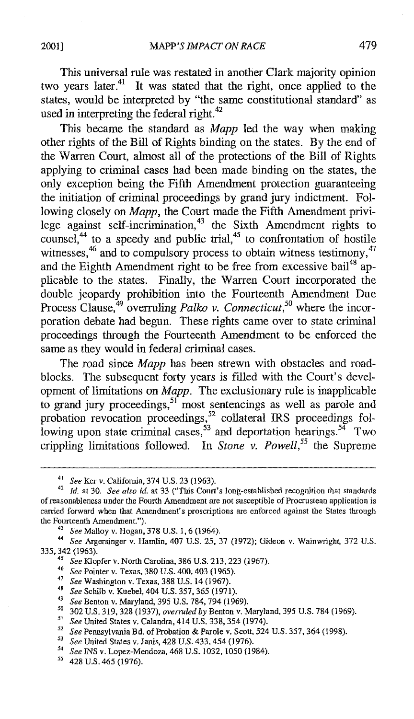This universal rule was restated in another Clark majority opinion two years later.<sup>41</sup> It was stated that the right, once applied to the states, would be interpreted by "the same constitutional standard" as used in interpreting the federal right.<sup>42</sup>

This became the standard as *Mapp* led the way when making other rights of the Bill of Rights binding on the states. By the end of the Warren Court, almost all of the protections of the Bill of Rights applying to criminal cases had been made binding on the states, the only exception being the Fifth Amendment protection guaranteeing the initiation of criminal proceedings by grand jury indictment. Following closely on *Mapp,* the Court made the Fifth Amendment privilege against self-incrimination,<sup>43</sup> the Sixth Amendment rights to counsel,<sup>44</sup> to a speedy and public trial,<sup>45</sup> to confrontation of hostile witnesses,<sup>46</sup> and to compulsory process to obtain witness testimony,<sup>47</sup> and the Eighth Amendment right to be free from excessive bail<sup>48</sup> applicable to the states. Finally, the Warren Court incorporated the double jeopardy prohibition into the Fourteenth Amendment Due Process Clause,<sup>49</sup> overruling *Palko v. Connecticut*,<sup>50</sup> where the incorporation debate had begun. These rights came over to state criminal proceedings through the Fourteenth Amendment to be enforced the same as they would in federal criminal cases.

The road since *Mapp* has been strewn with obstacles and roadblocks. The subsequent forty years is filled with the Court's development of limitations on *Mapp.* The exclusionary rule is inapplicable to grand jury proceedings,<sup>51</sup> most sentencings as well as parole and probation revocation proceedings,<sup>52</sup> collateral IRS proceedings following upon state criminal cases,<sup>53</sup> and deportation hearings.<sup>54</sup> Two crippling limitations followed. In *Stone v. Powell,<sup>55</sup>*the Supreme

- 
- 
- 

<sup>41</sup>*SeeKer* v. California, 374 U.S. 23 (1963). 42 */d.* at 30. *See also id.* at 33 ("This Court's long-established recognition that standards of reasonableness under the Fourth Amendment are not susceptible of Procrustean application is carried forward when that Amendment's proscriptions are enforced against the States through the Fourteenth Amendment"). 43 *See* Malloy v. Hogan, 378 U.S. 1, 6 (1964). 44 *See* Argersinger v. Hamlin, 407 U.S. 25, 37 (1972); Gideon v. Wainwright, 372 U.S.

<sup>335, 342 (1963).&</sup>lt;br><sup>45</sup> See Klopfer v. North Carolina, 386 U.S. 213, 223 (1967).

<sup>&</sup>lt;sup>46</sup> See Pointer v. Texas, 380 U.S. 400, 403 (1965).<br>
<sup>47</sup> See Washington v. Texas, 388 U.S. 14 (1967).<br>
<sup>48</sup> See Schilb v. Kuebel, 404 U.S. 357, 365 (1971).<br>
<sup>49</sup> See Benton v. Maryland, 395 U.S. 784, 794 (1969).<br>
<sup>50</sup> 3

*<sup>51</sup> See* United States v. Calandra, 414 U.S. 338, 354 (1974). 52 *See* Pennsylvania Bd. of Probation & Parole v. Scott, 524 U.S. 357, 364 (1998). *53 See* United States v. Janis, 428 U.S. 433, 454 (1976).

<sup>54</sup>*See* JNS v. Lopez-Mendoza, 468 U.S. 1032, 1050 (1984).

*<sup>55</sup>*428 U.S. 465 (1976).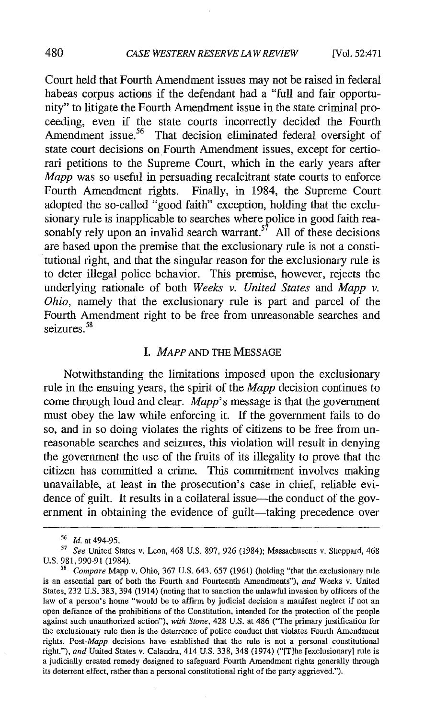Court held that Fourth Amendment issues may not be raised in federal habeas corpus actions if the defendant had a "full and fair opportunity" to litigate the Fourth Amendment issue in the state criminal proceeding, even if the state courts incorrectly decided the Fourth Amendment issue.<sup>56</sup> That decision eliminated federal oversight of state court decisions on Fourth Amendment issues, except for certiorari petitions to the Supreme Court, which in the early years after *Mapp* was so useful in persuading recalcitrant state courts to enforce Fourth Amendment rights. Finally, in 1984, the Supreme Court adopted the so-called "good faith" exception, holding that the exclusionary rule is inapplicable to searches where police in good faith reasonally rule is imapproache to search warrant.<sup>57</sup> All of these decisions are based upon the premise that the exclusionary rule is not a consti tutional right, and that the singular reason for the exclusionary rule is to deter illegal police behavior. This premise, however, rejects the underlying rationale of both *Weeks v. United States* and *Mapp v. Ohio,* namely that the exclusionary rule is part and parcel of the Fourth Amendment right to be free from unreasonable searches and seizures. 58

#### I. *MAPP* AND THE MESSAGE

Notwithstanding the limitations imposed upon the exclusionary rule in the ensuing years, the spirit of the *Mapp* decision continues to come through loud and clear. *Mapp'* s message is that the government must obey the law while enforcing it. If the government fails to do so, and in so doing violates the rights of citizens to be free from unreasonable searches and seizures, this violation will result in denying the government the use of the fruits of its illegality to prove that the citizen has committed a crime. This commitment involves making unavailable, at least in the prosecution's case in chief, reliable evidence of guilt. It results in a collateral issue—the conduct of the government in obtaining the evidence of guilt-taking precedence over

<sup>&</sup>lt;sup>56</sup> *Id.* at 494-95.<br><sup>57</sup> *See* United States v. Leon, 468 U.S. 897, 926 (1984); Massachusetts v. Sheppard, 468<br>U.S. 981, 990-91 (1984).

<sup>&</sup>lt;sup>58</sup> Compare Mapp v. Ohio, 367 U.S. 643, 657 (1961) (holding "that the exclusionary rule is an essential part of both the Fourth and Fourteenth Amendments"), *and* Weeks v. United States, 232 U.S. 383,394 (1914) (noting that to sanction the unlawful invasion by officers of the law of a person's home "would be to affirm by judicial decision a manifest neglect if not an open defiance of the prohibitions of the Constitution, intended for the protection of the people against such unauthorized action"), *with Stone,* 428 U.S. at 486 ('The primary justification for the exclusionary rule then is the deterrence of police conduct that violates Fourth Amendment rights. *Post-Mapp* decisions have established that the rule is not a personal constitutional right."), *and* United States v. Calandra, 414 U.S. 338, 348 (1974) ("[f]he [exclusionary] rule is a judicially created remedy designed to safeguard Fourth Amendment rights generally through its deterrent effect, rather than a personal constitutional right of the party aggrieved.").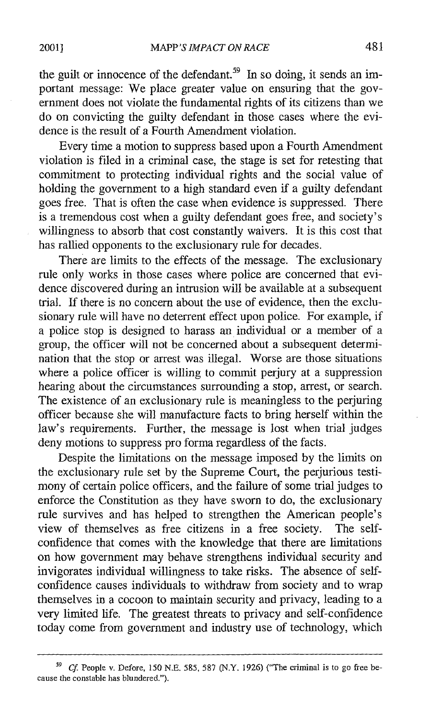the guilt or innocence of the defendant.<sup>59</sup> In so doing, it sends an important message: We place greater value on ensuring that the government does not violate the fundamental rights of its citizens than we do on convicting the guilty defendant in those cases where the evidence is the result of a Fourth Amendment violation.

Every time a motion to suppress based upon a Fourth Amendment violation is filed in a criminal case, the stage is set for retesting that commitment to protecting individual rights and the social value of holding the government to a high standard even if a guilty defendant goes free. That is often the case when evidence is suppressed. There is a tremendous cost when a guilty defendant goes free, and society's willingness to absorb that cost constantly waivers. It is this cost that has rallied opponents to the exclusionary rule for decades.

There are limits to the effects of the message. The exclusionary rule only works in those cases where police are concerned that evidence discovered during an intrusion will be available at a subsequent trial. If there is no concern about the use of evidence, then the exclusionary rule will have no deterrent effect upon police. For example, if a police stop is designed to harass an individual or a member of a group, the officer will not be concerned about a subsequent determination that the stop or arrest was illegal. Worse are those situations where a police officer is willing to commit perjury at a suppression hearing about the circumstances surrounding a stop, arrest, or search. The existence of an exclusionary rule is meaningless to the perjuring officer because she will manufacture facts to bring herself within the law's requirements. Further, the message is lost when trial judges deny motions to suppress pro forma regardless of the facts.

Despite the limitations on the message imposed by the limits on the exclusionary rule set by the Supreme Court, the perjurious testimony of certain police officers, and the failure of some trial judges to enforce the Constitution as they have sworn to do, the exclusionary rule survives and has helped to strengthen the American people's view of themselves as free citizens in a free society. The selfconfidence that comes with the knowledge that there are limitations on how government may behave strengthens individual security and invigorates individual willingness to take risks. The absence of selfconfidence causes individuals to withdraw from society and to wrap themselves in a cocoon to maintain security and privacy, leading to a very limited life. The greatest threats to privacy and self-confidence today come from government and industry use of technology, which

<sup>&</sup>lt;sup>59</sup> Cf. People v. Defore, 150 N.E. 585, 587 (N.Y. 1926) ("The criminal is to go free because the constable has blundered.").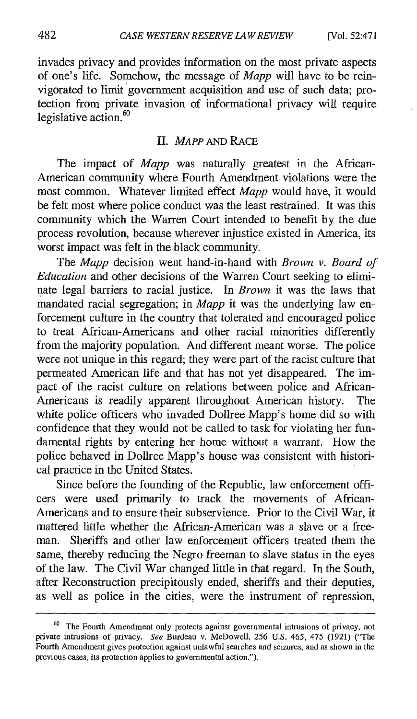invades privacy and provides information on the most private aspects of one's life. Somehow, the message of *Mapp* will have to be reinvigorated to limit government acquisition and use of such data; protection from private invasion of informational privacy will require legislative action.<sup>60</sup>

#### II. *MAPP* AND RACE

The impact of *Mapp* was naturally greatest in the African-American community where Fourth Amendment violations were the most common. Whatever limited effect *Mapp* would have, it would be felt most where police conduct was the least restrained. It was this community which the Warren Court intended to benefit by the due process revolution, because wherever injustice existed in America, its worst impact was felt in the black community.

The *Mapp* decision went hand-in-hand with *Brown v. Board of Education* and other decisions of the Warren Court seeking to eliminate legal barriers to racial justice. In *Brown* it was the laws that mandated racial segregation; in *Mapp* it was the underlying law enforcement culture in the country that tolerated and encouraged police to treat African-Americans and other racial minorities differently from the majority population. And different meant worse. The police were not unique in this regard; they were part of the racist culture that permeated American life and that has not yet disappeared. The impact of the racist culture on relations between police and Mrican-Americans is readily apparent throughout American history. The white police officers who invaded Dollree Mapp's home did so with confidence that they would not be called to task for violating her fundamental rights by entering her home without a warrant. How the police behaved in Dollree Mapp's house was consistent with historical practice in the United States.

Since before the founding of the Republic, law enforcement officers were used primarily to track the movements of Mrican-Americans and to ensure their subservience. Prior to the Civil War, it mattered little whether the African-American was a slave or a freeman. Sheriffs and other law enforcement officers treated them the same, thereby reducing the Negro freeman to slave status in the eyes of the law. The Civil War changed little in that regard. In the South, after Reconstruction precipitously ended, sheriffs and their deputies, as well as police in the cities, were the instrument of repression,

<sup>&</sup>lt;sup>60</sup> The Fourth Amendment only protects against governmental intrusions of privacy, not private intrusions of privacy. *See* Burdeau v. McDowell, 256 U.S. 465, 475 (1921) ("The Fourth Amendment gives protection against unlawful searches and seizures, and as shown in the previous cases, its protection applies to governmental action.").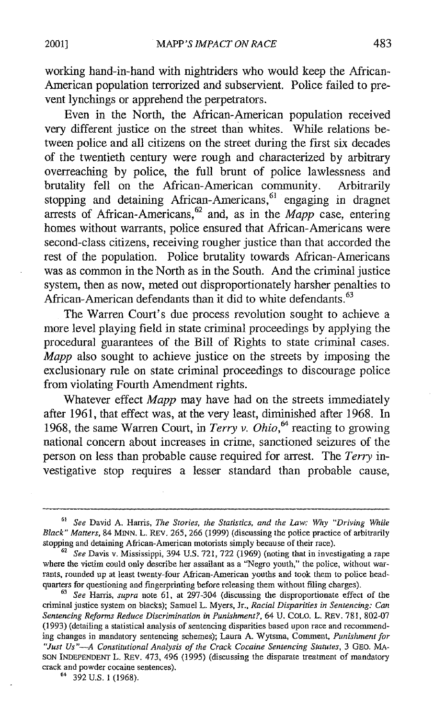working hand-in-hand with nightriders who would keep the African-American population terrorized and subservient. Police failed to prevent lynchings or apprehend the perpetrators.

Even in the North, the African-American population received very different justice on the street than whites. While relations between police and all citizens on the street during the first six decades of the twentieth century were rough and characterized by arbitrary overreaching by police, the full brunt of police lawlessness and brutality fell on the African-American community. Arbitrarily stopping and detaining African-Americans,  $61$  engaging in dragnet arrests of African-Americans, <sup>62</sup> and, as in the *Mapp* case, entering homes without warrants, police ensured that African-Americans were second-class citizens, receiving rougher justice than that accorded the rest of the population. Police brutality towards African-Americans was as common in the North as in the South. And the criminal justice system, then as now, meted out disproportionately harsher penalties to African-American defendants than it did to white defendants.<sup>63</sup>

The Warren Court's due process revolution sought to achieve a more level playing field in state criminal proceedings by applying the procedural guarantees of the Bill of Rights to state criminal cases. Mapp also sought to achieve justice on the streets by imposing the exclusionary rule on state criminal proceedings to discourage police from violating Fourth Amendment rights.

Whatever effect *Mapp* may have had on the streets immediately after 1961, that effect was, at the very least, diminished after 1968. In 1968, the same Warren Court, in *Terry v. Ohio,<sup>64</sup>*reacting to growing national concern about increases in crime, sanctioned seizures of the person on less than probable cause required for arrest. The *Terry* investigative stop requires a lesser standard than probable cause,

<sup>63</sup> See Harris, *supra* note 61, at 297-304 (discussing the disproportionate effect of the criminal justice system on blacks); Samuel L. Myers, Jr., *Racial Disparities in Sentencing: Can Sentencing Reforms Reduce Discrimination in Punishment?,* 64 U. COLO. L. REv. 781, 802-07 (1993) (detailing a statistical analysis of sentencing disparities based upon race and recommending changes in mandatory sentencing schemes); Laura A. Wytsma, Comment, *Punishment for "Just Us"-A Constitutional Analysis of the Crack Cocaine Sentencing Statutes,* 3 GEO. MA-SON INDEPENDENT L. REv. 473, 496 (1995) (discussing the disparate treatment of mandatory crack and powder cocaine sentences). 64 392 U.S. 1 (1968).

<sup>61</sup>*See* David A. Harris, *The Stories, the Statistics, and the Law: Why* "Driving *While Black" Matters,* 84 MINN. L. REV. 265, 266 (1999) (discussing the police practice of arbitrarily stopping and detaining African-American motorists simply because of their race).

<sup>&</sup>lt;sup>62</sup> See Davis v. Mississippi, 394 U.S. 721, 722 (1969) (noting that in investigating a rape where the victim could only describe her assailant as a "Negro youth," the police, without warrants, rounded up at least twenty-four African-American youths and took them to police head-<br>quarters for questioning and fingerprinting before releasing them without filing charges).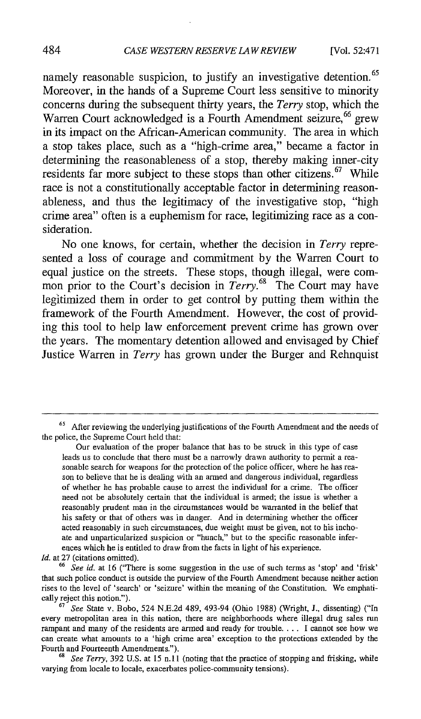namely reasonable suspicion, to justify an investigative detention. *<sup>65</sup>* Moreover, in the hands of a Supreme Court less sensitive to minority concerns during the subsequent thirty years, the *Teny* stop, which the Warren Court acknowledged is a Fourth Amendment seizure,<sup>66</sup> grew in its impact on the African-American community. The area in which a stop takes place, such as a "high-crime area," became a factor in determining the reasonableness of a stop, thereby making inner-city residents far more subject to these stops than other citizens.<sup>67</sup> While race is not a constitutionally acceptable factor in determining reasonableness, and thus the legitimacy of the investigative stop, "high crime area" often is a euphemism for race, legitimizing race as a consideration.

No one knows, for certain, whether the decision in *Terry* represented a loss of courage and commitment by the Warren Court to equal justice on the streets. These stops, though illegal, were common prior to the Court's decision in *Terry*.<sup>68</sup> The Court may have legitimized them in order to get control by putting them within the framework of the Fourth Amendment. However, the cost of providing this tool to help law enforcement prevent crime has grown over the years. The momentary detention allowed and envisaged by Chief Justice Warren in *Terry* has grown under the Burger and Rehnquist

 $65$  After reviewing the underlying justifications of the Fourth Amendment and the needs of the police, the Supreme Court held that:

Our evaluation of the proper balance that has to be struck in this type of case leads us to conclude that there must be a narrowly drawn authority to permit a reasonable search for weapons for the protection of the police officer, where he has reason to believe that he is dealing with an armed and dangerous individual, regardless of whether he has probable cause to arrest the individual for a crime. The officer need not be absolutely certain that the individual is armed; the issue is whether a reasonably prudent man in the circumstances would be warranted in the belief that his safety or that of others was in danger. And in determining whether the officer acted reasonably in such circumstances, due weight must be given, not to his inchoate and unparticularized suspicion or "hunch," but to the specific reasonable inferences which he is entitled to draw from the facts in light of his experience.  $Id$  at 27 (citations omitted).

<sup>&</sup>lt;sup>66</sup> *See id.* at 16 ("There is some suggestion in the use of such terms as 'stop' and 'frisk' that such police conduct is outside the purview of the Fourth Amendment because neither action rises to the level of 'search' or 'seizure' within the meaning of the Constitution. We emphatically reject this notion."). 67 *See* State v. Bobo, 524 N.E.2d 489, 493-94 (Ohio 1988) (Wright, J., dissenting) ("In

every metropolitan area in this nation, there are neighborhoods where illegal drug sales run rampant and many of the residents are armed and ready for trouble. . . . I cannot see how we can create what amounts to a 'high crime area' exception to the protections extended by the Fourth and Fourteenth Amendments.").

<sup>&</sup>lt;sup>68</sup> See Terry, 392 U.S. at 15 n.11 (noting that the practice of stopping and frisking, while varying from locale to locale, exacerbates police-community tensions).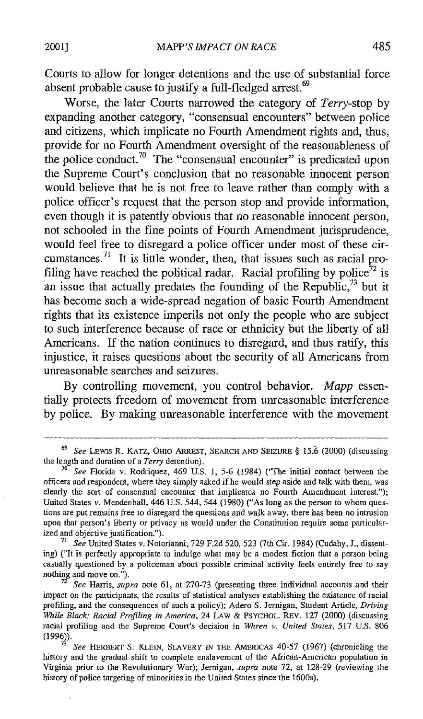Courts to allow for longer detentions and the use of substantial force absent probable cause to justify a full-fledged arrest. $69$ 

Worse, the later Courts narrowed the category of *Terry-stop* by expanding another category, "consensual encounters" between police and citizens, which implicate no Fourth Amendment rights and, thus, provide for no Fourth Amendment oversight of the reasonableness of the police conduct.<sup>70</sup> The "consensual encounter" is predicated upon the Supreme Court's conclusion that no reasonable innocent person would believe that he is not free to leave rather than comply with a police officer's request that the person stop and provide information, even though it is patently obvious that no reasonable innocent person, not schooled in the fine points of Fourth Amendment jurisprudence, would feel free to disregard a police officer under most of these circumstances.<sup>71</sup> It is little wonder, then, that issues such as racial profiling have reached the political radar. Racial profiling by police<sup>72</sup> is an issue that actually predates the founding of the Republic, $^{73}$  but it has become such a wide-spread negation of basic Fourth Amendment rights that its existence imperils not only the people who are subject to such interference because of race or ethnicity but the liberty of all Americans. If the nation continues to disregard, and thus ratify, this injustice, it raises questions about the security of all Americans from unreasonable searches and seizures.

By controlling movement, you control behavior. *Mapp* essentially protects freedom of movement from unreasonable interference by police. By making unreasonable interference with the movement

<sup>71</sup> See United States v. Notorianni, 729 F.2d 520, 523 (7th Cir. 1984) (Cudahy, J., dissenting) ("It is perfectly appropriate to indulge what may be a modest fiction that a person being casually questioned by a policeman about possible criminal activity feels entirely free to say nothing and move on.").

<sup>72</sup>*See* Harris, *supra* note 61, at 270-73 (presenting three individual accounts and their impact on the participants, the results of statistical analyses establishing the existence of racial profiling, and the consequences of such a policy); Adero S. Jernigan, Student Article, *Driving While Black: Racial Profiling in America,* 24 LAW & PSYCHOL. REv. 127 (2000) (discussing racial profiling and the Supreme Court's decision in *Whren v. United States,* 517 U.S. 806

<sup>&</sup>lt;sup>69</sup> See LEWIS R. KATZ, OHIO ARREST, SEARCH AND SEIZURE § 15.6 (2000) (discussing the length and duration of a *Terry* detention).

See Florida v. Rodriquez, 469 U.S. 1, 5-6 (1984) ("The initial contact between the officers and respondent, where they simply asked if he would step aside and talk with them, was clearly the sort of consensual encounter that implicates no Fourth Amendment interest."); United States v. Mendenhall, 446 U.S. 544, 544 (1980) ("As long as the person to whom questions are put remains free to disregard the questions and walk away, there has been no intrusion upon that person's liberty or privacy as would under the Constitution require some particular-<br>ized and objective iustification.").

<sup>&</sup>lt;sup>73</sup> *See* HERBERT *S.* KLEIN, SLAVERY IN THE AMERICAS 40-57 (1967) (chronicling the history and the gradual shift to complete enslavement of the African-American population in Virginia prior to the Revolutionary War); Jernigan, *supra* note 72, at 128-29 (reviewing the history of police targeting of minorities in the United States since the 1600s).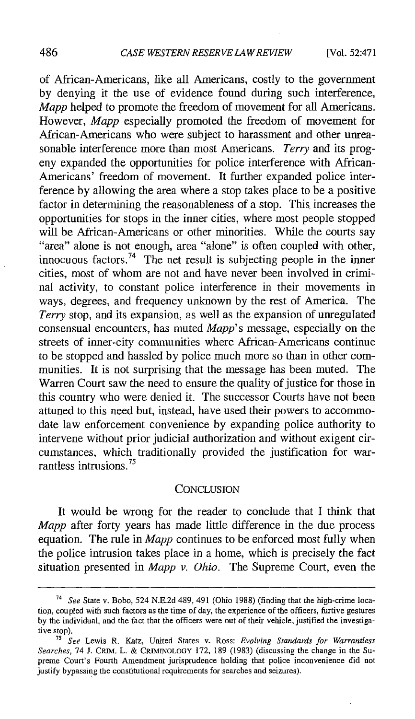of African-Americans, like all Americans, costly to the government by denying it the use of evidence found during such interference, *Mapp* helped to promote the freedom of movement for all Americans. However, *Mapp* especially promoted the freedom of movement for African-Americans who were subject to harassment and other unreasonable interference more than most Americans. *Terry* and its progeny expanded the opportunities for police interference with African-Americans' freedom of movement. It further expanded police interference by allowing the area where a stop takes place to be a positive factor in determining the reasonableness of a stop. This increases the opportunities for stops in the inner cities, where most people stopped will be African-Americans or other minorities. While the courts say "area" alone is not enough, area "alone" is often coupled with other, innocuous factors.<sup>74</sup> The net result is subjecting people in the inner cities, most of whom are not and have never been involved in criminal activity, to constant police interference in their movements in ways, degrees, and frequency unknown by the rest of America. The *Terry* stop, and its expansion, as well as the expansion of unregulated consensual encounters, has muted *Mapp'* s message, especially on the streets of inner-city communities where African-Americans continue to be stopped and hassled by police much more so than in other communities. It is not surprising that the message has been muted. The Warren Court saw the need to ensure the quality of justice for those in this country who were denied it. The successor Courts have not been attuned to this need but, instead, have used their powers to accommodate law enforcement convenience by expanding police authority to intervene without prior judicial authorization and without exigent circumstances, which traditionally provided the justification for warrantless intrusions.<sup>75</sup>

#### **CONCLUSION**

It would be wrong for the reader to conclude that I think that *Mapp* after forty years has made little difference in the due process equation. The rule in *Mapp* continues to be enforced most fully when the police intrusion takes place in a home, which is precisely the fact situation presented in *Mapp v. Ohio.* The Supreme Court, even the

<sup>74</sup>*See* State v. Bobo, 524 N.E.2d 489, 491 (Ohio 1988) (finding that the high-crime location, coupled with such factors as the time of day, the experience of the officers, furtive gestures by the individual, and the fact that the officers were out of their vehicle, justified the investigative stop).

<sup>75</sup>*See* Lewis R. Katz, United States v. Ross: *Evolving Standards for Warrantless Searches,* 74 J. CRIM. L. & CRIMINOLOGY 172, 189 (1983) (discussing the change in the Supreme Court's Fourth Amendment jurisprudence holding that police inconvenience did not justify bypassing the constitutional requirements for searches and seizures).